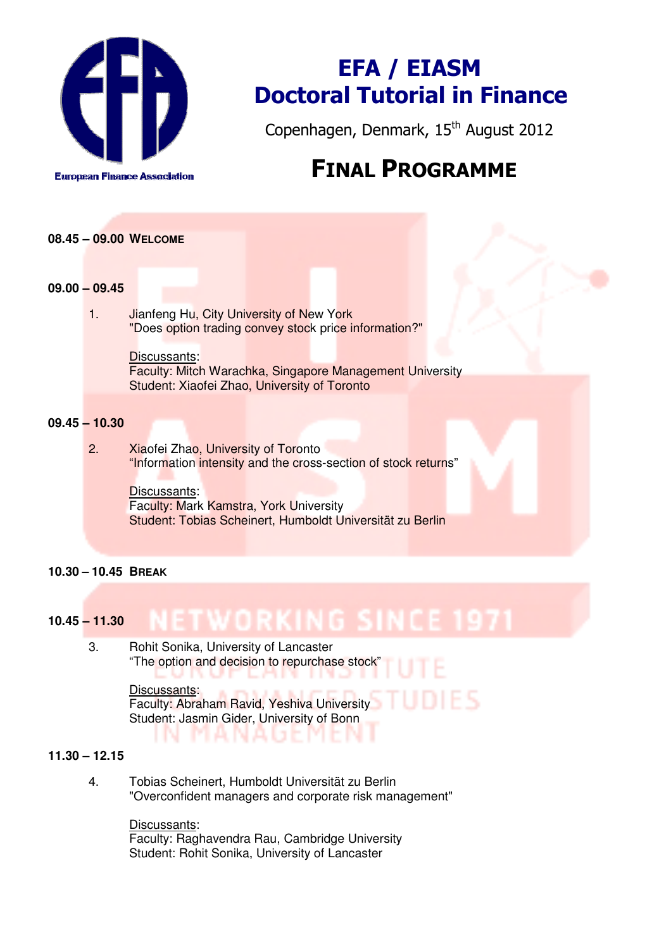

# EFA / EIASM Doctoral Tutorial in Finance

Copenhagen, Denmark, 15<sup>th</sup> August 2012

## FINAL PROGRAMME

## **08.45 – 09.00 WELCOME**

### **09.00 – 09.45**

1. **Jianfeng Hu, City University of New York** "Does option trading convey stock price information?"

#### Discussants:

Faculty: Mitch Warachka, Singapore Management University Student: Xiaofei Zhao, University of Toronto

## **09.45 – 10.30**

2. Xiaofei Zhao, University of Toronto "Information intensity and the cross-section of stock returns"

> Discussants: Faculty: Mark Kamstra, York University Student: Tobias Scheinert, Humboldt Universität zu Berlin

## **10.30 – 10.45 BREAK**

#### NETWORKING SINCE **10.45 – 11.30**

3. Rohit Sonika, University of Lancaster "The option and decision to repurchase stock" I. R . . . 43 Discussants:

Faculty: Abraham Ravid, Yeshiva University Student: Jasmin Gider, University of Bonn n a n a tri in

## **11.30 – 12.15**

4. Tobias Scheinert, Humboldt Universität zu Berlin "Overconfident managers and corporate risk management"

> Discussants: Faculty: Raghavendra Rau, Cambridge University Student: Rohit Sonika, University of Lancaster